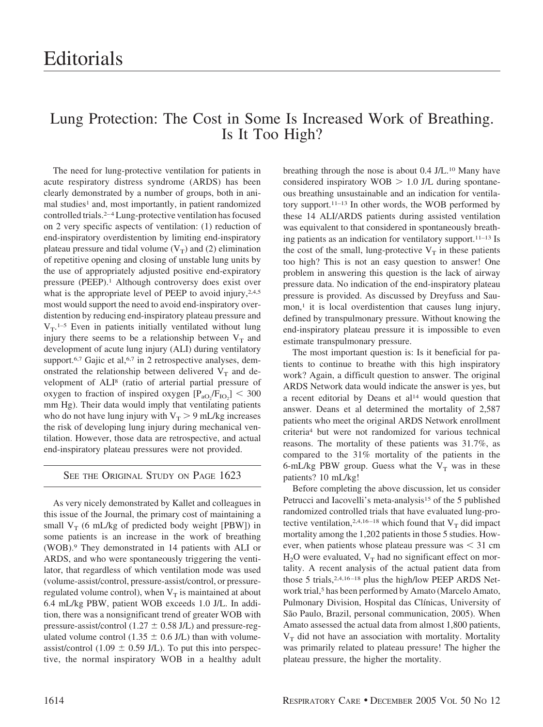## Lung Protection: The Cost in Some Is Increased Work of Breathing. Is It Too High?

The need for lung-protective ventilation for patients in acute respiratory distress syndrome (ARDS) has been clearly demonstrated by a number of groups, both in animal studies<sup>1</sup> and, most importantly, in patient randomized controlled trials.2–4Lung-protective ventilation has focused on 2 very specific aspects of ventilation: (1) reduction of end-inspiratory overdistention by limiting end-inspiratory plateau pressure and tidal volume  $(V_T)$  and (2) elimination of repetitive opening and closing of unstable lung units by the use of appropriately adjusted positive end-expiratory pressure (PEEP).1 Although controversy does exist over what is the appropriate level of PEEP to avoid injury, 2,4,5 most would support the need to avoid end-inspiratory overdistention by reducing end-inspiratory plateau pressure and  $V_T$ .<sup>1-5</sup> Even in patients initially ventilated without lung injury there seems to be a relationship between  $V_T$  and development of acute lung injury (ALI) during ventilatory support.<sup>6,7</sup> Gajic et al,<sup>6,7</sup> in 2 retrospective analyses, demonstrated the relationship between delivered  $V_T$  and development of ALI8 (ratio of arterial partial pressure of oxygen to fraction of inspired oxygen  $[P_{aO_2}/F_{IO_2}]$  < 300 mm Hg). Their data would imply that ventilating patients who do not have lung injury with  $V_T > 9$  mL/kg increases the risk of developing lung injury during mechanical ventilation. However, those data are retrospective, and actual end-inspiratory plateau pressures were not provided.

## SEE THE ORIGINAL STUDY ON PAGE 1623

As very nicely demonstrated by Kallet and colleagues in this issue of the Journal, the primary cost of maintaining a small  $V_T$  (6 mL/kg of predicted body weight [PBW]) in some patients is an increase in the work of breathing (WOB).9 They demonstrated in 14 patients with ALI or ARDS, and who were spontaneously triggering the ventilator, that regardless of which ventilation mode was used (volume-assist/control, pressure-assist/control, or pressureregulated volume control), when  $V_T$  is maintained at about 6.4 mL/kg PBW, patient WOB exceeds 1.0 J/L. In addition, there was a nonsignificant trend of greater WOB with pressure-assist/control (1.27  $\pm$  0.58 J/L) and pressure-regulated volume control (1.35  $\pm$  0.6 J/L) than with volumeassist/control (1.09  $\pm$  0.59 J/L). To put this into perspective, the normal inspiratory WOB in a healthy adult breathing through the nose is about 0.4 J/L.10 Many have considered inspiratory  $WOB > 1.0$  J/L during spontaneous breathing unsustainable and an indication for ventilatory support.11–13 In other words, the WOB performed by these 14 ALI/ARDS patients during assisted ventilation was equivalent to that considered in spontaneously breathing patients as an indication for ventilatory support.<sup>11–13</sup> Is the cost of the small, lung-protective  $V_T$  in these patients too high? This is not an easy question to answer! One problem in answering this question is the lack of airway pressure data. No indication of the end-inspiratory plateau pressure is provided. As discussed by Dreyfuss and Saumon, $\frac{1}{1}$  it is local overdistention that causes lung injury, defined by transpulmonary pressure. Without knowing the end-inspiratory plateau pressure it is impossible to even estimate transpulmonary pressure.

The most important question is: Is it beneficial for patients to continue to breathe with this high inspiratory work? Again, a difficult question to answer. The original ARDS Network data would indicate the answer is yes, but a recent editorial by Deans et al<sup>14</sup> would question that answer. Deans et al determined the mortality of 2,587 patients who meet the original ARDS Network enrollment criteria4 but were not randomized for various technical reasons. The mortality of these patients was 31.7%, as compared to the 31% mortality of the patients in the 6-mL/kg PBW group. Guess what the  $V_T$  was in these patients? 10 mL/kg!

Before completing the above discussion, let us consider Petrucci and Iacovelli's meta-analysis<sup>15</sup> of the 5 published randomized controlled trials that have evaluated lung-protective ventilation,<sup>2,4,16–18</sup> which found that  $V_T$  did impact mortality among the 1,202 patients in those 5 studies. However, when patients whose plateau pressure was  $\leq$  31 cm  $H_2O$  were evaluated,  $V_T$  had no significant effect on mortality. A recent analysis of the actual patient data from those 5 trials, 2,4,16-18 plus the high/low PEEP ARDS Network trial,<sup>5</sup> has been performed by Amato (Marcelo Amato, Pulmonary Division, Hospital das Clínicas, University of São Paulo, Brazil, personal communication, 2005). When Amato assessed the actual data from almost 1,800 patients,  $V_T$  did not have an association with mortality. Mortality was primarily related to plateau pressure! The higher the plateau pressure, the higher the mortality.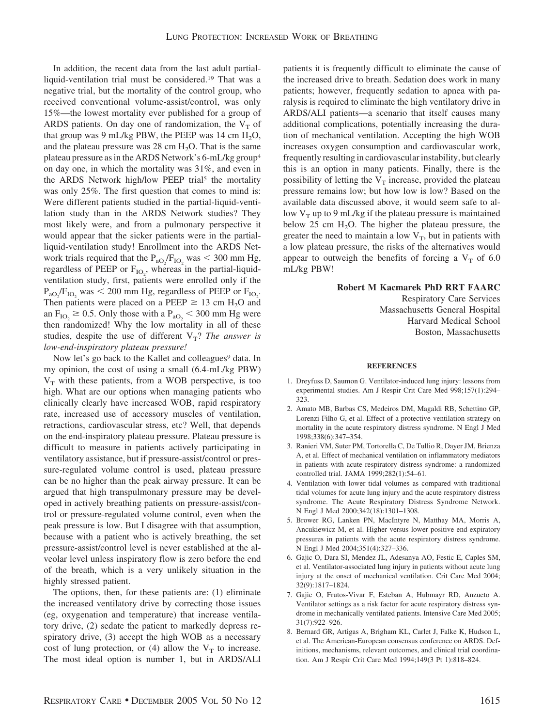In addition, the recent data from the last adult partialliquid-ventilation trial must be considered.19 That was a negative trial, but the mortality of the control group, who received conventional volume-assist/control, was only 15%—the lowest mortality ever published for a group of ARDS patients. On day one of randomization, the  $V<sub>T</sub>$  of that group was 9 mL/kg PBW, the PEEP was 14 cm  $H_2O$ , and the plateau pressure was  $28 \text{ cm H}_{2}O$ . That is the same plateau pressure as in the ARDS Network's 6-mL/kg group4 on day one, in which the mortality was 31%, and even in the ARDS Network high/low PEEP trial<sup>5</sup> the mortality was only 25%. The first question that comes to mind is: Were different patients studied in the partial-liquid-ventilation study than in the ARDS Network studies? They most likely were, and from a pulmonary perspective it would appear that the sicker patients were in the partialliquid-ventilation study! Enrollment into the ARDS Network trials required that the  $P_{aO_2}/F_{IO_2}$  was  $\leq 300$  mm Hg, regardless of PEEP or  $F_{IO_2}$ , whereas in the partial-liquidventilation study, first, patients were enrolled only if the  $P_{aO_2}/F_{IO_2}$  was  $\leq 200$  mm Hg, regardless of PEEP or  $F_{IO_2}$ . Then patients were placed on a PEEP  $\geq$  13 cm H<sub>2</sub>O and an  $F_{IO_2} \ge 0.5$ . Only those with a  $P_{aO_2} < 300$  mm Hg were then randomized! Why the low mortality in all of these studies, despite the use of different  $V_T$ ? *The answer is low-end-inspiratory plateau pressure!*

Now let's go back to the Kallet and colleagues<sup>9</sup> data. In my opinion, the cost of using a small (6.4-mL/kg PBW)  $V_T$  with these patients, from a WOB perspective, is too high. What are our options when managing patients who clinically clearly have increased WOB, rapid respiratory rate, increased use of accessory muscles of ventilation, retractions, cardiovascular stress, etc? Well, that depends on the end-inspiratory plateau pressure. Plateau pressure is difficult to measure in patients actively participating in ventilatory assistance, but if pressure-assist/control or pressure-regulated volume control is used, plateau pressure can be no higher than the peak airway pressure. It can be argued that high transpulmonary pressure may be developed in actively breathing patients on pressure-assist/control or pressure-regulated volume control, even when the peak pressure is low. But I disagree with that assumption, because with a patient who is actively breathing, the set pressure-assist/control level is never established at the alveolar level unless inspiratory flow is zero before the end of the breath, which is a very unlikely situation in the highly stressed patient.

The options, then, for these patients are: (1) eliminate the increased ventilatory drive by correcting those issues (eg, oxygenation and temperature) that increase ventilatory drive, (2) sedate the patient to markedly depress respiratory drive, (3) accept the high WOB as a necessary cost of lung protection, or (4) allow the  $V_T$  to increase. The most ideal option is number 1, but in ARDS/ALI

patients it is frequently difficult to eliminate the cause of the increased drive to breath. Sedation does work in many patients; however, frequently sedation to apnea with paralysis is required to eliminate the high ventilatory drive in ARDS/ALI patients—a scenario that itself causes many additional complications, potentially increasing the duration of mechanical ventilation. Accepting the high WOB increases oxygen consumption and cardiovascular work, frequently resulting in cardiovascular instability, but clearly this is an option in many patients. Finally, there is the possibility of letting the  $V_T$  increase, provided the plateau pressure remains low; but how low is low? Based on the available data discussed above, it would seem safe to allow  $V_T$  up to 9 mL/kg if the plateau pressure is maintained below 25 cm  $H_2O$ . The higher the plateau pressure, the greater the need to maintain a low  $V_T$ , but in patients with a low plateau pressure, the risks of the alternatives would appear to outweigh the benefits of forcing a  $V<sub>T</sub>$  of 6.0 mL/kg PBW!

## **Robert M Kacmarek PhD RRT FAARC**

Respiratory Care Services Massachusetts General Hospital Harvard Medical School Boston, Massachusetts

## **REFERENCES**

- 1. Dreyfuss D, Saumon G. Ventilator-induced lung injury: lessons from experimental studies. Am J Respir Crit Care Med 998;157(1):294– 323.
- 2. Amato MB, Barbas CS, Medeiros DM, Magaldi RB, Schettino GP, Lorenzi-Filho G, et al. Effect of a protective-ventilation strategy on mortality in the acute respiratory distress syndrome. N Engl J Med 1998;338(6):347–354.
- 3. Ranieri VM, Suter PM, Tortorella C, De Tullio R, Dayer JM, Brienza A, et al. Effect of mechanical ventilation on inflammatory mediators in patients with acute respiratory distress syndrome: a randomized controlled trial. JAMA 1999;282(1):54–61.
- 4. Ventilation with lower tidal volumes as compared with traditional tidal volumes for acute lung injury and the acute respiratory distress syndrome. The Acute Respiratory Distress Syndrome Network. N Engl J Med 2000;342(18):1301–1308.
- 5. Brower RG, Lanken PN, MacIntyre N, Matthay MA, Morris A, Ancukiewicz M, et al. Higher versus lower positive end-expiratory pressures in patients with the acute respiratory distress syndrome. N Engl J Med 2004;351(4):327–336.
- 6. Gajic O, Dara SI, Mendez JL, Adesanya AO, Festic E, Caples SM, et al. Ventilator-associated lung injury in patients without acute lung injury at the onset of mechanical ventilation. Crit Care Med 2004; 32(9):1817–1824.
- 7. Gajic O, Frutos-Vivar F, Esteban A, Hubmayr RD, Anzueto A. Ventilator settings as a risk factor for acute respiratory distress syndrome in mechanically ventilated patients. Intensive Care Med 2005; 31(7):922–926.
- 8. Bernard GR, Artigas A, Brigham KL, Carlet J, Falke K, Hudson L, et al. The American-European consensus conference on ARDS. Definitions, mechanisms, relevant outcomes, and clinical trial coordination. Am J Respir Crit Care Med 1994;149(3 Pt 1):818–824.